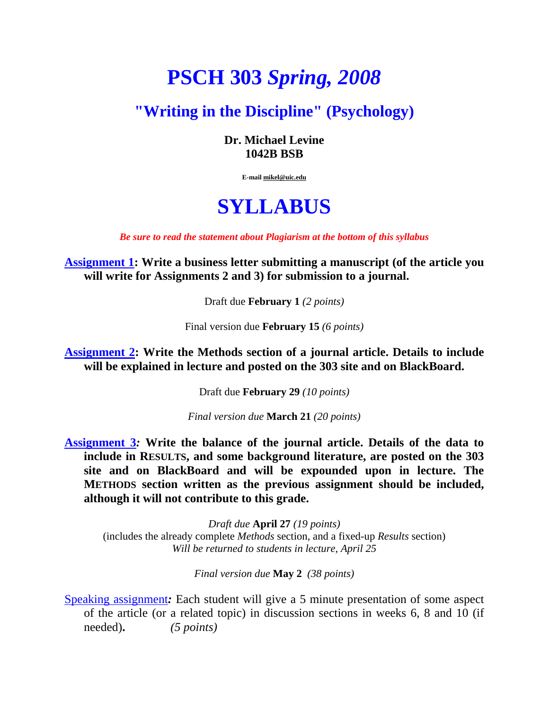## **PSCH 303** *Spring, 2008*

## **"Writing in the Discipline" (Psychology)**

**Dr. Michael Levine 1042B BSB** 

**E-mail mikel@uic.edu**

## **SYLLABUS**

*Be sure to read the statement about [Plagiarism](#page-1-0) at the bottom of this syllabus*

**Assignment 1: Write a business letter submitting a manuscript (of the article you will write for Assignments 2 and 3) for submission to a journal.** 

Draft due **February 1** *(2 points)*

Final version due **February 15** *(6 points)*

**Assignment 2: Write the Methods section of a journal article. Details to include will be explained in lecture and posted on the 303 site and on BlackBoard.** 

Draft due **February 29** *(10 points)*

*Final version due* **March 21** *(20 points)*

**Assignment 3***:* **Write the balance of the journal article. Details of the data to include in RESULTS, and some background literature, are posted on the 303 site and on BlackBoard and will be expounded upon in lecture. The METHODS section written as the previous assignment should be included, although it will not contribute to this grade.** 

*Draft due* **April 27** *(19 points)* (includes the already complete *Methods* section, and a fixed-up *Results* section) *Will be returned to students in lecture, April 25* 

*Final version due* **May 2** *(38 points)* 

Speaking assignment*:* Each student will give a 5 minute presentation of some aspect of the article (or a related topic) in discussion sections in weeks 6, 8 and 10 (if needed)**.** *(5 points)*